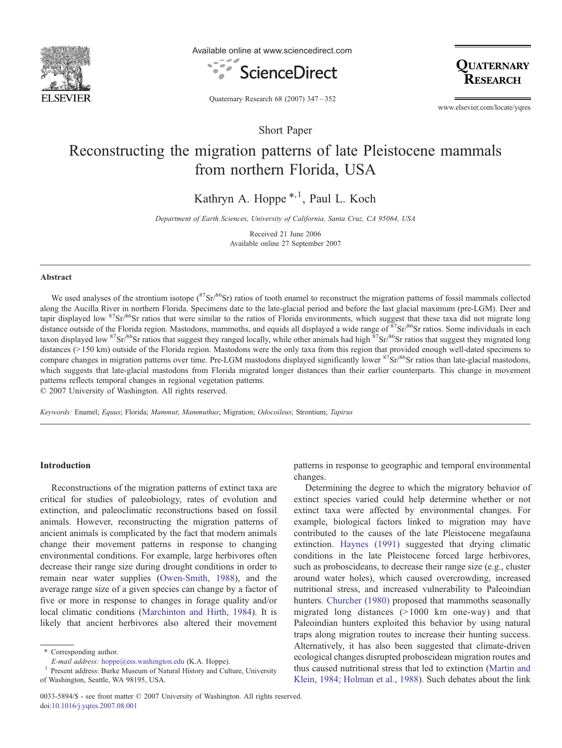

Available online at www.sciencedirect.com



OUATERNARY RESEARCH

Quaternary Research 68 (2007) 347–352

www.elsevier.com/locate/yqres

# Short Paper

# Reconstructing the migration patterns of late Pleistocene mammals from northern Florida, USA

# Kathryn A. Hoppe<sup>\*,1</sup>, Paul L. Koch

Department of Earth Sciences, University of California, Santa Cruz, CA 95064, USA

Received 21 June 2006 Available online 27 September 2007

#### Abstract

We used analyses of the strontium isotope ( ${}^{87}Sr/{}^{86}Sr$ ) ratios of tooth enamel to reconstruct the migration patterns of fossil mammals collected along the Aucilla River in northern Florida. Specimens date to the late-glacial period and before the last glacial maximum (pre-LGM). Deer and tapir displayed low 87Sr/86Sr ratios that were similar to the ratios of Florida environments, which suggest that these taxa did not migrate long distance outside of the Florida region. Mastodons, mammoths, and equids all displayed a wide range of <sup>87</sup>Sr/<sup>86</sup>Sr ratios. Some individuals in each taxon displayed low <sup>87</sup>Sr/<sup>86</sup>Sr ratios that suggest they ranged locally, while other animals had high <sup>87</sup>Sr/<sup>86</sup>Sr ratios that suggest they migrated long distances (>150 km) outside of the Florida region. Mastodons were the only taxa from this region that provided enough well-dated specimens to compare changes in migration patterns over time. Pre-LGM mastodons displayed significantly lower  ${}^{87}\text{Sr}^{86}\text{Sr}$  ratios than late-glacial mastodons, which suggests that late-glacial mastodons from Florida migrated longer distances than their earlier counterparts. This change in movement patterns reflects temporal changes in regional vegetation patterns.

© 2007 University of Washington. All rights reserved.

Keywords: Enamel; Equus; Florida; Mammut; Mammuthus; Migration; Odocoileus; Strontium; Tapirus

# Introduction

Reconstructions of the migration patterns of extinct taxa are critical for studies of paleobiology, rates of evolution and extinction, and paleoclimatic reconstructions based on fossil animals. However, reconstructing the migration patterns of ancient animals is complicated by the fact that modern animals change their movement patterns in response to changing environmental conditions. For example, large herbivores often decrease their range size during drought conditions in order to remain near water supplies ([Owen-Smith, 1988\)](#page-5-0), and the average range size of a given species can change by a factor of five or more in response to changes in forage quality and/or local climatic conditions [\(Marchinton and Hirth, 1984\)](#page-5-0). It is likely that ancient herbivores also altered their movement

patterns in response to geographic and temporal environmental changes.

Determining the degree to which the migratory behavior of extinct species varied could help determine whether or not extinct taxa were affected by environmental changes. For example, biological factors linked to migration may have contributed to the causes of the late Pleistocene megafauna extinction. [Haynes \(1991\)](#page-4-0) suggested that drying climatic conditions in the late Pleistocene forced large herbivores, such as proboscideans, to decrease their range size (e.g., cluster around water holes), which caused overcrowding, increased nutritional stress, and increased vulnerability to Paleoindian hunters. [Churcher \(1980\)](#page-4-0) proposed that mammoths seasonally migrated long distances  $(>1000 \text{ km}$  one-way) and that Paleoindian hunters exploited this behavior by using natural traps along migration routes to increase their hunting success. Alternatively, it has also been suggested that climate-driven ecological changes disrupted proboscidean migration routes and thus caused nutritional stress that led to extinction [\(Martin and](#page-5-0) [Klein, 1984; Holman et al., 1988\)](#page-5-0). Such debates about the link

<sup>⁎</sup> Corresponding author.

 $E\text{-}mail$  address: [hoppe@ess.washington.edu](mailto:hoppe@ess.washington.edu) (K.A. Hoppe). $^1$  Present address: Burke Museum of Natural History and Culture, University of Washington, Seattle, WA 98195, USA.

<sup>0033-5894/\$ -</sup> see front matter © 2007 University of Washington. All rights reserved. doi:[10.1016/j.yqres.2007.08.001](http://dx.doi.org/10.1016/j.yqres.2007.08.001)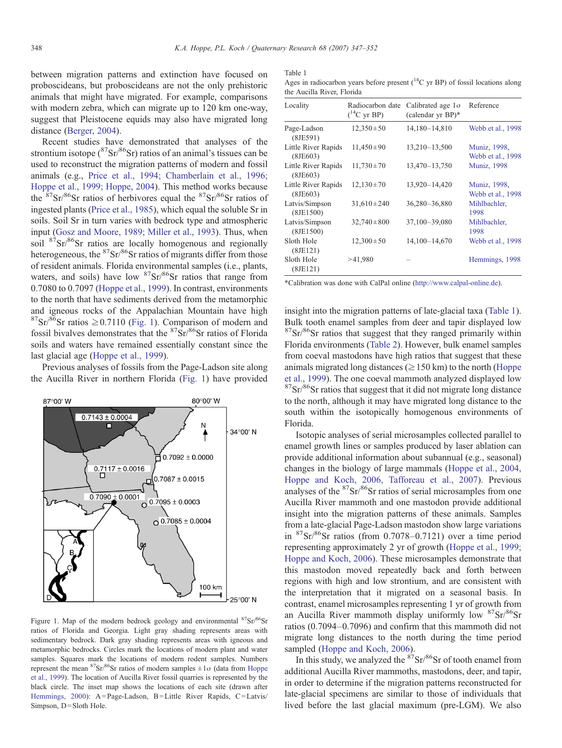<span id="page-1-0"></span>between migration patterns and extinction have focused on proboscideans, but proboscideans are not the only prehistoric animals that might have migrated. For example, comparisons with modern zebra, which can migrate up to 120 km one-way. suggest that Pleistocene equids may also have migrated long distance [\(Berger, 2004](#page-4-0)).

Recent studies have demonstrated that analyses of the strontium isotope ( ${}^{87}Sr/{}^{86}Sr$ ) ratios of an animal's tissues can be used to reconstruct the migration patterns of modern and fossil animals (e.g., [Price et al., 1994; Chamberlain et al., 1996;](#page-5-0) [Hoppe et al., 1999; Hoppe, 2004](#page-5-0)). This method works because the  $87\text{Sr}/86\text{Sr}$  ratios of herbivores equal the  $87\text{Sr}/86\text{Sr}$  ratios of ingested plants ([Price et al., 1985](#page-5-0)), which equal the soluble Sr in soils. Soil Sr in turn varies with bedrock type and atmospheric input [\(Gosz and Moore, 1989; Miller et al., 1993\)](#page-4-0). Thus, when soil <sup>87</sup>Sr/<sup>86</sup>Sr ratios are locally homogenous and regionally heterogeneous, the <sup>87</sup>Sr/<sup>86</sup>Sr ratios of migrants differ from those of resident animals. Florida environmental samples (i.e., plants, waters, and soils) have low  ${}^{87}Sr/{}^{86}Sr$  ratios that range from 0.7080 to 0.7097 ([Hoppe et al., 1999](#page-5-0)). In contrast, environments to the north that have sediments derived from the metamorphic and igneous rocks of the Appalachian Mountain have high  $87\text{Sr}/86\text{Sr}$  ratios  $\geq 0.7110$  (Fig. 1). Comparison of modern and fossil bivalves demonstrates that the 87Sr/86Sr ratios of Florida soils and waters have remained essentially constant since the last glacial age [\(Hoppe et al., 1999](#page-5-0)).

Previous analyses of fossils from the Page-Ladson site along the Aucilla River in northern Florida (Fig. 1) have provided



Figure 1. Map of the modern bedrock geology and environmental  ${}^{87}Sr/{}^{86}Sr$ ratios of Florida and Georgia. Light gray shading represents areas with sedimentary bedrock. Dark gray shading represents areas with igneous and metamorphic bedrocks. Circles mark the locations of modern plant and water samples. Squares mark the locations of modern rodent samples. Numbers represent the mean <sup>87</sup>Sr/<sup>86</sup>Sr ratios of modern samples  $\pm 1\sigma$  (data from [Hoppe](#page-5-0) [et al., 1999](#page-5-0)). The location of Aucilla River fossil quarries is represented by the black circle. The inset map shows the locations of each site (drawn after [Hemmings, 2000](#page-5-0)): A=Page-Ladson, B=Little River Rapids, C=Latvis/ Simpson, D=Sloth Hole.

Table 1 Ages in radiocarbon years before present  $(^{14}C$  yr BP) of fossil locations along the Aucilla River, Florida

| Locality                        | Radiocarbon date<br>$(^{14}C$ yr BP) | Calibrated age $1\sigma$<br>(calendar yr BP)* | Reference                         |  |
|---------------------------------|--------------------------------------|-----------------------------------------------|-----------------------------------|--|
| Page-Ladson<br>(8JE591)         | $12,350 \pm 50$                      | 14,180-14,810                                 | Webb et al., 1998                 |  |
| Little River Rapids<br>(8JE603) | $11,450\pm90$                        | 13,210-13,500                                 | Muniz, 1998,<br>Webb et al., 1998 |  |
| Little River Rapids<br>(8JE603) | $11,730 \pm 70$                      | 13,470-13,750                                 | <b>Muniz</b> , 1998               |  |
| Little River Rapids<br>(8JE603) | $12,130\pm 70$                       | 13,920-14,420                                 | Muniz, 1998,<br>Webb et al., 1998 |  |
| Latvis/Simpson<br>(8JE1500)     | $31,610\pm240$                       | 36,280–36,880                                 | Mihlbachler,<br>1998              |  |
| Latvis/Simpson<br>(8JE1500)     | $32,740\pm800$                       | 37,100-39,080                                 | Mihlbachler,<br>1998              |  |
| Sloth Hole<br>(8JE121)          | $12,300 \pm 50$                      | 14,100-14,670                                 | Webb et al., 1998                 |  |
| Sloth Hole<br>(8JE121)          | >41,980                              |                                               | Hemmings, 1998                    |  |

\*Calibration was done with CalPal online [\(http://www.calpal-online.de\)](http://www.calpal-online.de).

insight into the migration patterns of late-glacial taxa (Table 1). Bulk tooth enamel samples from deer and tapir displayed low  $87$ Sr/ $86$ Sr ratios that suggest that they ranged primarily within Florida environments ([Table 2](#page-2-0)). However, bulk enamel samples from coeval mastodons have high ratios that suggest that these animals migrated long distances ( $\geq$  150 km) to the north [\(Hoppe](#page-5-0) [et al., 1999\)](#page-5-0). The one coeval mammoth analyzed displayed low  ${}^{87}Sr/{}^{86}Sr$  ratios that suggest that it did not migrate long distance to the north, although it may have migrated long distance to the south within the isotopically homogenous environments of Florida.

Isotopic analyses of serial microsamples collected parallel to enamel growth lines or samples produced by laser ablation can provide additional information about subannual (e.g., seasonal) changes in the biology of large mammals [\(Hoppe et al., 2004,](#page-5-0) [Hoppe and Koch, 2006, Tafforeau et al., 2007\)](#page-5-0). Previous analyses of the  ${}^{87}Sr/{}^{86}Sr$  ratios of serial microsamples from one Aucilla River mammoth and one mastodon provide additional insight into the migration patterns of these animals. Samples from a late-glacial Page-Ladson mastodon show large variations in  $87\text{Sr}/86\text{Sr}$  ratios (from 0.7078–0.7121) over a time period representing approximately 2 yr of growth [\(Hoppe et al., 1999;](#page-5-0) [Hoppe and Koch, 2006\)](#page-5-0). These microsamples demonstrate that this mastodon moved repeatedly back and forth between regions with high and low strontium, and are consistent with the interpretation that it migrated on a seasonal basis. In contrast, enamel microsamples representing 1 yr of growth from an Aucilla River mammoth display uniformly low <sup>87</sup>Sr/86Sr ratios (0.7094–0.7096) and confirm that this mammoth did not migrate long distances to the north during the time period sampled ([Hoppe and Koch, 2006\)](#page-5-0).

In this study, we analyzed the  $87$ Sr $/86$ Sr of tooth enamel from additional Aucilla River mammoths, mastodons, deer, and tapir, in order to determine if the migration patterns reconstructed for late-glacial specimens are similar to those of individuals that lived before the last glacial maximum (pre-LGM). We also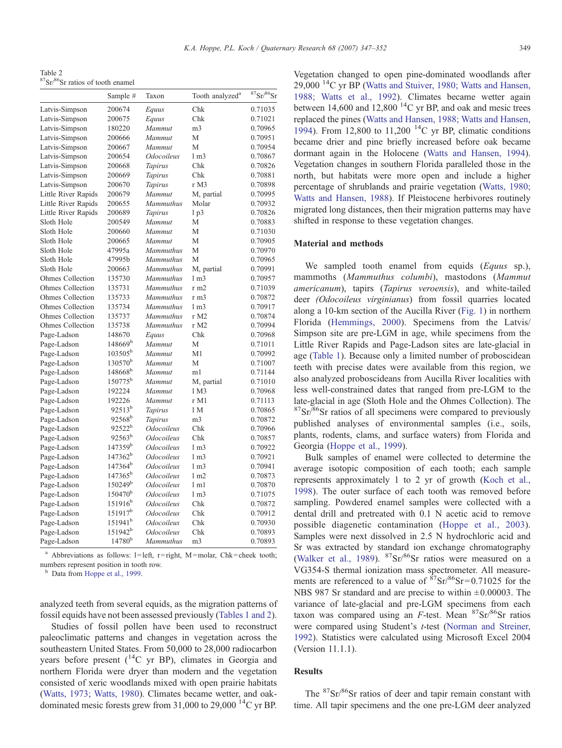<span id="page-2-0"></span>Table 2 87Sr/86Sr ratios of tooth enamel

|                         | Sample #            | Taxon                    | Tooth analyzed <sup>a</sup> | ${}^{87}\mathrm{Sr} / {}^{86}\mathrm{Sr}$ |
|-------------------------|---------------------|--------------------------|-----------------------------|-------------------------------------------|
| Latvis-Simpson          | 200674              | Equus                    | Chk                         | 0.71035                                   |
| Latvis-Simpson          | 200675              | Equus                    | Chk                         | 0.71021                                   |
| Latvis-Simpson          | 180220              | Mammut                   | m <sub>3</sub>              | 0.70965                                   |
| Latvis-Simpson          | 200666              | Mammut                   | M                           | 0.70951                                   |
| Latvis-Simpson          | 200667              | Mammut                   | M                           | 0.70954                                   |
| Latvis-Simpson          | 200654              | <b>Odocoileus</b>        | 1 <sub>m3</sub>             | 0.70867                                   |
| Latvis-Simpson          | 200668              | Tapirus                  | Chk                         | 0.70826                                   |
| Latvis-Simpson          | 200669              | Tapirus                  | Chk                         | 0.70881                                   |
| Latvis-Simpson          | 200670              | Tapirus                  | r M3                        | 0.70898                                   |
| Little River Rapids     | 200679              | Mammut                   | M, partial                  | 0.70995                                   |
| Little River Rapids     | 200655              | <b>Mammuthus</b>         | Molar                       | 0.70932                                   |
| Little River Rapids     | 200689              | Tapirus                  | 1 <sub>p3</sub>             | 0.70826                                   |
| Sloth Hole              | 200549              | Mammut                   | M                           | 0.70883                                   |
| Sloth Hole              | 200660              | Mammut                   | М                           | 0.71030                                   |
| Sloth Hole              | 200665              | Mammut                   | M                           | 0.70905                                   |
| Sloth Hole              | 47995a              | <b>Mammuthus</b>         | M                           | 0.70970                                   |
| Sloth Hole              | 47995b              | <b>Mammuthus</b>         | M                           | 0.70965                                   |
| Sloth Hole              | 200663              | <b>Mammuthus</b>         | M, partial                  | 0.70991                                   |
| <b>Ohmes Collection</b> | 135730              | <b>Mammuthus</b>         | 1 <sub>m3</sub>             | 0.70957                                   |
| <b>Ohmes Collection</b> | 135731              | <b>Mammuthus</b>         | r m2                        | 0.71039                                   |
| Ohmes Collection        | 135733              | <b>Mammuthus</b>         | r <sub>m3</sub>             | 0.70872                                   |
| <b>Ohmes Collection</b> | 135734              | <b>Mammuthus</b>         | 1 <sub>m3</sub>             | 0.70917                                   |
| <b>Ohmes Collection</b> | 135737              | <b>Mammuthus</b>         | r M2                        | 0.70874                                   |
| <b>Ohmes Collection</b> | 135738              | Mammuthus                | r M2                        | 0.70994                                   |
| Page-Ladson             | 148670              | Equus                    | Chk                         | 0.70968                                   |
| Page-Ladson             | $148669^{\rm b}$    | Mammut                   | M                           | 0.71011                                   |
| Page-Ladson             | $103505^{\rm b}$    | Mammut                   | M1                          | 0.70992                                   |
| Page-Ladson             | $130570^{\rm b}$    | Mammut                   | M                           | 0.71007                                   |
| Page-Ladson             | 148668 <sup>b</sup> | Mammut                   | m1                          | 0.71144                                   |
| Page-Ladson             | $150775^{\rm b}$    | Mammut                   | M, partial                  | 0.71010                                   |
| Page-Ladson             | 192224              | Mammut                   | 1 M3                        | 0.70968                                   |
| Page-Ladson             | 192226              | Mammut                   | r M1                        | 0.71113                                   |
| Page-Ladson             | $92513^{b}$         | Tapirus                  | 1 M                         | 0.70865                                   |
| Page-Ladson             | $92568^{\rm b}$     | Tapirus                  | m <sub>3</sub>              | 0.70872                                   |
| Page-Ladson             | $92522^b$           | <i><b>Odocoileus</b></i> | Chk                         | 0.70966                                   |
| Page-Ladson             | $92563^{\rm b}$     | <b>Odocoileus</b>        | Chk                         | 0.70857                                   |
| Page-Ladson             | 147359b             | <b>Odocoileus</b>        | 1 <sub>m3</sub>             | 0.70922                                   |
| Page-Ladson             | $147362^{b}$        | <i><b>Odocoileus</b></i> | 1 <sub>m3</sub>             | 0.70921                                   |
| Page-Ladson             | $147364^b$          | <i><b>Odocoileus</b></i> | 1 <sub>m3</sub>             | 0.70941                                   |
| Page-Ladson             | $147365^b$          | <i><b>Odocoileus</b></i> | 1 <sub>m2</sub>             | 0.70873                                   |
| Page-Ladson             | $150249^{\rm b}$    | <b>Odocoileus</b>        | 1 <sub>m1</sub>             | 0.70870                                   |
| Page-Ladson             | $150470^{\rm b}$    | <b>Odocoileus</b>        | 1 <sub>m3</sub>             | 0.71075                                   |
| Page-Ladson             | $151916^{b}$        | <b>Odocoileus</b>        | Chk                         | 0.70872                                   |
| Page-Ladson             | $151917^b$          | <b>Odocoileus</b>        | Chk                         | 0.70912                                   |
| Page-Ladson             | $151941^{\rm b}$    | <i><b>Odocoileus</b></i> | Chk                         | 0.70930                                   |
| Page-Ladson             | 151942 <sup>b</sup> | <b>Odocoileus</b>        | Chk                         | 0.70893                                   |
| Page-Ladson             | $14780^{b}$         | <b>Mammuthus</b>         | m <sub>3</sub>              | 0.70893                                   |

<sup>a</sup> Abbreviations as follows: l=left, r=right, M=molar, Chk=cheek tooth; numbers represent position in tooth row.

Data from [Hoppe et al., 1999](#page-5-0).

analyzed teeth from several equids, as the migration patterns of fossil equids have not been assessed previously ([Tables 1 and 2\)](#page-1-0).

Studies of fossil pollen have been used to reconstruct paleoclimatic patterns and changes in vegetation across the southeastern United States. From 50,000 to 28,000 radiocarbon years before present  $(^{14}C$  yr BP), climates in Georgia and northern Florida were dryer than modern and the vegetation consisted of xeric woodlands mixed with open prairie habitats ([Watts, 1973; Watts, 1980\)](#page-5-0). Climates became wetter, and oakdominated mesic forests grew from 31,000 to 29,000  $^{14}$ C yr BP. Vegetation changed to open pine-dominated woodlands after 29,000 14C yr BP ([Watts and Stuiver, 1980; Watts and Hansen,](#page-5-0) [1988; Watts et al., 1992\)](#page-5-0). Climates became wetter again between 14,600 and 12,800  $^{14}$ C yr BP, and oak and mesic trees replaced the pines [\(Watts and Hansen, 1988; Watts and Hansen,](#page-5-0) [1994](#page-5-0)). From 12,800 to 11,200<sup> $14$ </sup>C yr BP, climatic conditions became drier and pine briefly increased before oak became dormant again in the Holocene ([Watts and Hansen, 1994\)](#page-5-0). Vegetation changes in southern Florida paralleled those in the north, but habitats were more open and include a higher percentage of shrublands and prairie vegetation ([Watts, 1980;](#page-5-0) [Watts and Hansen, 1988](#page-5-0)). If Pleistocene herbivores routinely migrated long distances, then their migration patterns may have shifted in response to these vegetation changes.

### Material and methods

We sampled tooth enamel from equids (Equus sp.), mammoths (Mammuthus columbi), mastodons (Mammut americanum), tapirs (Tapirus veroensis), and white-tailed deer (Odocoileus virginianus) from fossil quarries located along a 10-km section of the Aucilla River ([Fig. 1\)](#page-1-0) in northern Florida ([Hemmings, 2000](#page-5-0)). Specimens from the Latvis/ Simpson site are pre-LGM in age, while specimens from the Little River Rapids and Page-Ladson sites are late-glacial in age [\(Table 1](#page-1-0)). Because only a limited number of proboscidean teeth with precise dates were available from this region, we also analyzed proboscideans from Aucilla River localities with less well-constrained dates that ranged from pre-LGM to the late-glacial in age (Sloth Hole and the Ohmes Collection). The  $87\text{Sr}/86\text{Sr}$  ratios of all specimens were compared to previously published analyses of environmental samples (i.e., soils, plants, rodents, clams, and surface waters) from Florida and Georgia ([Hoppe et al., 1999](#page-5-0)).

Bulk samples of enamel were collected to determine the average isotopic composition of each tooth; each sample represents approximately 1 to 2 yr of growth [\(Koch et al.,](#page-5-0) [1998](#page-5-0)). The outer surface of each tooth was removed before sampling. Powdered enamel samples were collected with a dental drill and pretreated with 0.1 N acetic acid to remove possible diagenetic contamination ([Hoppe et al., 2003\)](#page-5-0). Samples were next dissolved in 2.5 N hydrochloric acid and Sr was extracted by standard ion exchange chromatography ([Walker et al., 1989](#page-5-0)).  ${}^{87}Sr/{}^{86}Sr$  ratios were measured on a VG354-S thermal ionization mass spectrometer. All measurements are referenced to a value of  ${}^{87}Sr/{}^{86}Sr = 0.71025$  for the NBS 987 Sr standard and are precise to within  $\pm 0.00003$ . The variance of late-glacial and pre-LGM specimens from each taxon was compared using an  $F$ -test. Mean  $87$ Sr/ $86$ Sr ratios were compared using Student's t-test ([Norman and Streiner,](#page-5-0) [1992](#page-5-0)). Statistics were calculated using Microsoft Excel 2004 (Version 11.1.1).

# Results

The <sup>87</sup>Sr/<sup>86</sup>Sr ratios of deer and tapir remain constant with time. All tapir specimens and the one pre-LGM deer analyzed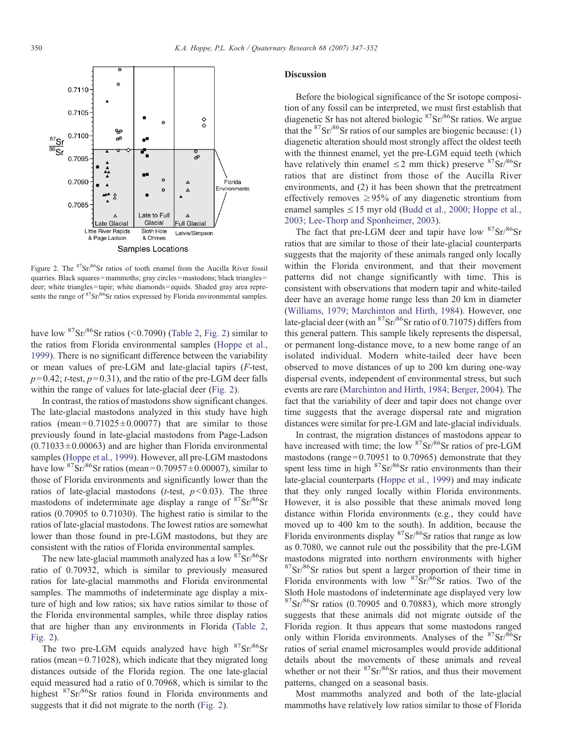<span id="page-3-0"></span>

Figure 2. The <sup>87</sup>Sr/<sup>86</sup>Sr ratios of tooth enamel from the Aucilla River fossil quarries. Black squares=mammoths; gray circles=mastodons; black triangles= deer; white triangles = tapir; white diamonds = equids. Shaded gray area represents the range of  ${}^{87}Sr/{}^{86}Sr$  ratios expressed by Florida environmental samples.

have low  ${}^{87}Sr/{}^{86}Sr$  ratios (<0.7090) ([Table 2](#page-2-0), Fig. 2) similar to the ratios from Florida environmental samples [\(Hoppe et al.,](#page-5-0) [1999\)](#page-5-0). There is no significant difference between the variability or mean values of pre-LGM and late-glacial tapirs (F-test,  $p= 0.42$ ; t-test,  $p= 0.31$ ), and the ratio of the pre-LGM deer falls within the range of values for late-glacial deer (Fig. 2).

In contrast, the ratios of mastodons show significant changes. The late-glacial mastodons analyzed in this study have high ratios (mean= $0.71025 \pm 0.00077$ ) that are similar to those previously found in late-glacial mastodons from Page-Ladson  $(0.71033 \pm 0.00063)$  and are higher than Florida environmental samples ([Hoppe et al., 1999](#page-5-0)). However, all pre-LGM mastodons have low  ${}^{87}Sr/{}^{86}Sr$  ratios (mean = 0.70957  $\pm$  0.00007), similar to those of Florida environments and significantly lower than the ratios of late-glacial mastodons (*t*-test,  $p<0.03$ ). The three mastodons of indeterminate age display a range of  $87\text{Sr}/86\text{Sr}$ ratios (0.70905 to 0.71030). The highest ratio is similar to the ratios of late-glacial mastodons. The lowest ratios are somewhat lower than those found in pre-LGM mastodons, but they are consistent with the ratios of Florida environmental samples.

The new late-glacial mammoth analyzed has a low  ${}^{87}Sr/{}^{86}Sr$ ratio of 0.70932, which is similar to previously measured ratios for late-glacial mammoths and Florida environmental samples. The mammoths of indeterminate age display a mixture of high and low ratios; six have ratios similar to those of the Florida environmental samples, while three display ratios that are higher than any environments in Florida [\(Table 2](#page-2-0), Fig. 2).

The two pre-LGM equids analyzed have high  $87$ Sr/ $86$ Sr ratios (mean  $= 0.71028$ ), which indicate that they migrated long distances outside of the Florida region. The one late-glacial equid measured had a ratio of 0.70968, which is similar to the highest <sup>87</sup>Sr/<sup>86</sup>Sr ratios found in Florida environments and suggests that it did not migrate to the north (Fig. 2).

## Discussion

Before the biological significance of the Sr isotope composition of any fossil can be interpreted, we must first establish that diagenetic Sr has not altered biologic  ${}^{87}Sr/{}^{86}Sr$  ratios. We argue that the  $87\text{Sr}/86\text{Sr}$  ratios of our samples are biogenic because: (1) diagenetic alteration should most strongly affect the oldest teeth with the thinnest enamel, yet the pre-LGM equid teeth (which have relatively thin enamel  $\leq$  2 mm thick) preserve <sup>87</sup>Sr/<sup>86</sup>Sr ratios that are distinct from those of the Aucilla River environments, and (2) it has been shown that the pretreatment effectively removes  $\geq 95\%$  of any diagenetic strontium from enamel samples  $\leq 15$  myr old ([Budd et al., 2000; Hoppe et al.,](#page-4-0) [2003; Lee-Thorp and Sponheimer, 2003\)](#page-4-0).

The fact that pre-LGM deer and tapir have low  $87$ Sr/ $86$ Sr ratios that are similar to those of their late-glacial counterparts suggests that the majority of these animals ranged only locally within the Florida environment, and that their movement patterns did not change significantly with time. This is consistent with observations that modern tapir and white-tailed deer have an average home range less than 20 km in diameter ([Williams, 1979; Marchinton and Hirth, 1984](#page-5-0)). However, one late-glacial deer (with an  ${}^{87}Sr/{}^{86}Sr$  ratio of 0.71075) differs from this general pattern. This sample likely represents the dispersal, or permanent long-distance move, to a new home range of an isolated individual. Modern white-tailed deer have been observed to move distances of up to 200 km during one-way dispersal events, independent of environmental stress, but such events are rare ([Marchinton and Hirth, 1984; Berger, 2004\)](#page-5-0). The fact that the variability of deer and tapir does not change over time suggests that the average dispersal rate and migration distances were similar for pre-LGM and late-glacial individuals.

In contrast, the migration distances of mastodons appear to have increased with time; the low  ${}^{87}Sr/{}^{86}Sr$  ratios of pre-LGM mastodons (range= $0.70951$  to  $0.70965$ ) demonstrate that they spent less time in high  $87\text{Sr}/86\text{Sr}$  ratio environments than their late-glacial counterparts [\(Hoppe et al., 1999\)](#page-5-0) and may indicate that they only ranged locally within Florida environments. However, it is also possible that these animals moved long distance within Florida environments (e.g., they could have moved up to 400 km to the south). In addition, because the Florida environments display  $87\text{Sr}/86\text{Sr}$  ratios that range as low as 0.7080, we cannot rule out the possibility that the pre-LGM mastodons migrated into northern environments with higher  $87\text{Sr}/86\text{Sr}$  ratios but spent a larger proportion of their time in Florida environments with low  $87Sr/86ST$  ratios. Two of the Sloth Hole mastodons of indeterminate age displayed very low  $87\text{Sr}/86\text{Sr}$  ratios (0.70905 and 0.70883), which more strongly suggests that these animals did not migrate outside of the Florida region. It thus appears that some mastodons ranged only within Florida environments. Analyses of the <sup>87</sup>Sr/86Sr ratios of serial enamel microsamples would provide additional details about the movements of these animals and reveal whether or not their  $87\text{Sr}/86\text{Sr}$  ratios, and thus their movement patterns, changed on a seasonal basis.

Most mammoths analyzed and both of the late-glacial mammoths have relatively low ratios similar to those of Florida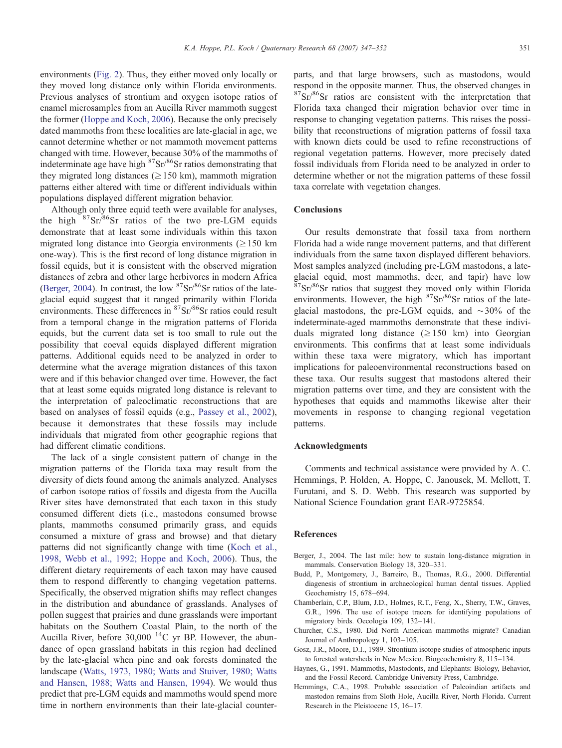<span id="page-4-0"></span>environments ([Fig. 2](#page-3-0)). Thus, they either moved only locally or they moved long distance only within Florida environments. Previous analyses of strontium and oxygen isotope ratios of enamel microsamples from an Aucilla River mammoth suggest the former ([Hoppe and Koch, 2006\)](#page-5-0). Because the only precisely dated mammoths from these localities are late-glacial in age, we cannot determine whether or not mammoth movement patterns changed with time. However, because 30% of the mammoths of indeterminate age have high  ${}^{87}Sr/{}^{86}Sr$  ratios demonstrating that they migrated long distances ( $\geq$  150 km), mammoth migration patterns either altered with time or different individuals within populations displayed different migration behavior.

Although only three equid teeth were available for analyses, the high  $87\text{Sr}/86\text{Sr}$  ratios of the two pre-LGM equids demonstrate that at least some individuals within this taxon migrated long distance into Georgia environments ( $\geq 150$  km one-way). This is the first record of long distance migration in fossil equids, but it is consistent with the observed migration distances of zebra and other large herbivores in modern Africa (Berger, 2004). In contrast, the low  ${}^{87}Sr/{}^{86}Sr$  ratios of the lateglacial equid suggest that it ranged primarily within Florida environments. These differences in  ${}^{87}Sr/{}^{86}Sr$  ratios could result from a temporal change in the migration patterns of Florida equids, but the current data set is too small to rule out the possibility that coeval equids displayed different migration patterns. Additional equids need to be analyzed in order to determine what the average migration distances of this taxon were and if this behavior changed over time. However, the fact that at least some equids migrated long distance is relevant to the interpretation of paleoclimatic reconstructions that are based on analyses of fossil equids (e.g., [Passey et al., 2002\)](#page-5-0), because it demonstrates that these fossils may include individuals that migrated from other geographic regions that had different climatic conditions.

The lack of a single consistent pattern of change in the migration patterns of the Florida taxa may result from the diversity of diets found among the animals analyzed. Analyses of carbon isotope ratios of fossils and digesta from the Aucilla River sites have demonstrated that each taxon in this study consumed different diets (i.e., mastodons consumed browse plants, mammoths consumed primarily grass, and equids consumed a mixture of grass and browse) and that dietary patterns did not significantly change with time [\(Koch et al.,](#page-5-0) [1998, Webb et al., 1992; Hoppe and Koch, 2006\)](#page-5-0). Thus, the different dietary requirements of each taxon may have caused them to respond differently to changing vegetation patterns. Specifically, the observed migration shifts may reflect changes in the distribution and abundance of grasslands. Analyses of pollen suggest that prairies and dune grasslands were important habitats on the Southern Coastal Plain, to the north of the Aucilla River, before  $30,000$  <sup>14</sup>C yr BP. However, the abundance of open grassland habitats in this region had declined by the late-glacial when pine and oak forests dominated the landscape [\(Watts, 1973, 1980; Watts and Stuiver, 1980; Watts](#page-5-0) [and Hansen, 1988; Watts and Hansen, 1994\)](#page-5-0). We would thus predict that pre-LGM equids and mammoths would spend more time in northern environments than their late-glacial counterparts, and that large browsers, such as mastodons, would respond in the opposite manner. Thus, the observed changes in  $87\text{Sr}/86\text{Sr}$  ratios are consistent with the interpretation that Florida taxa changed their migration behavior over time in response to changing vegetation patterns. This raises the possibility that reconstructions of migration patterns of fossil taxa with known diets could be used to refine reconstructions of regional vegetation patterns. However, more precisely dated fossil individuals from Florida need to be analyzed in order to determine whether or not the migration patterns of these fossil taxa correlate with vegetation changes.

# **Conclusions**

Our results demonstrate that fossil taxa from northern Florida had a wide range movement patterns, and that different individuals from the same taxon displayed different behaviors. Most samples analyzed (including pre-LGM mastodons, a lateglacial equid, most mammoths, deer, and tapir) have low  $Sr/86$ Sr ratios that suggest they moved only within Florida environments. However, the high  $87\text{Sr}/86\text{Sr}$  ratios of the lateglacial mastodons, the pre-LGM equids, and ∼30% of the indeterminate-aged mammoths demonstrate that these individuals migrated long distance  $(\geq 150 \text{ km})$  into Georgian environments. This confirms that at least some individuals within these taxa were migratory, which has important implications for paleoenvironmental reconstructions based on these taxa. Our results suggest that mastodons altered their migration patterns over time, and they are consistent with the hypotheses that equids and mammoths likewise alter their movements in response to changing regional vegetation patterns.

# Acknowledgments

Comments and technical assistance were provided by A. C. Hemmings, P. Holden, A. Hoppe, C. Janousek, M. Mellott, T. Furutani, and S. D. Webb. This research was supported by National Science Foundation grant EAR-9725854.

# References

- Berger, J., 2004. The last mile: how to sustain long-distance migration in mammals. Conservation Biology 18, 320–331.
- Budd, P., Montgomery, J., Barreiro, B., Thomas, R.G., 2000. Differential diagenesis of strontium in archaeological human dental tissues. Applied Geochemistry 15, 678–694.
- Chamberlain, C.P., Blum, J.D., Holmes, R.T., Feng, X., Sherry, T.W., Graves, G.R., 1996. The use of isotope tracers for identifying populations of migratory birds. Oecologia 109, 132–141.
- Churcher, C.S., 1980. Did North American mammoths migrate? Canadian Journal of Anthropology 1, 103–105.
- Gosz, J.R., Moore, D.I., 1989. Strontium isotope studies of atmospheric inputs to forested watersheds in New Mexico. Biogeochemistry 8, 115–134.
- Haynes, G., 1991. Mammoths, Mastodonts, and Elephants: Biology, Behavior, and the Fossil Record. Cambridge University Press, Cambridge.
- Hemmings, C.A., 1998. Probable association of Paleoindian artifacts and mastodon remains from Sloth Hole, Aucilla River, North Florida. Current Research in the Pleistocene 15, 16–17.